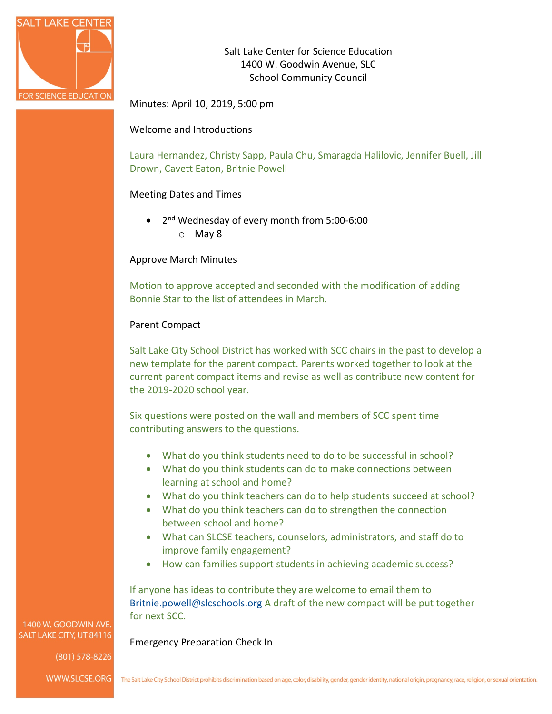

Salt Lake Center for Science Education 1400 W. Goodwin Avenue, SLC School Community Council

Minutes: April 10, 2019, 5:00 pm

Welcome and Introductions

Laura Hernandez, Christy Sapp, Paula Chu, Smaragda Halilovic, Jennifer Buell, Jill Drown, Cavett Eaton, Britnie Powell

# Meeting Dates and Times

• 2<sup>nd</sup> Wednesday of every month from 5:00-6:00 o May 8

# Approve March Minutes

Motion to approve accepted and seconded with the modification of adding Bonnie Star to the list of attendees in March.

# Parent Compact

Salt Lake City School District has worked with SCC chairs in the past to develop a new template for the parent compact. Parents worked together to look at the current parent compact items and revise as well as contribute new content for the 2019-2020 school year.

Six questions were posted on the wall and members of SCC spent time contributing answers to the questions.

- What do you think students need to do to be successful in school?
- What do you think students can do to make connections between learning at school and home?
- What do you think teachers can do to help students succeed at school?
- What do you think teachers can do to strengthen the connection between school and home?
- What can SLCSE teachers, counselors, administrators, and staff do to improve family engagement?
- How can families support students in achieving academic success?

If anyone has ideas to contribute they are welcome to email them to [Britnie.powell@slcschools.org](mailto:Britnie.powell@slcschools.org) A draft of the new compact will be put together for next SCC.

Emergency Preparation Check In

1400 W. GOODWIN AVE SALT LAKE CITY, UT 84116

(801) 578-8226

WWW.SLCSE.ORG